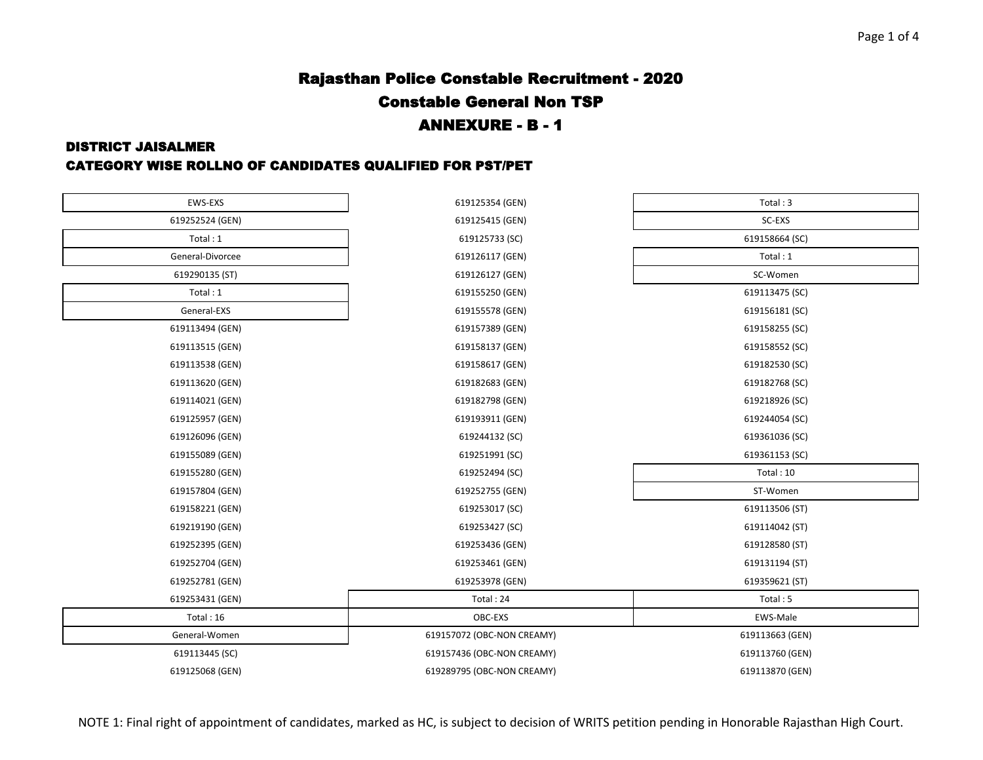# Rajasthan Police Constable Recruitment - 2020 Constable General Non TSP ANNEXURE - B - 1

#### DISTRICT JAISALMER

#### CATEGORY WISE ROLLNO OF CANDIDATES QUALIFIED FOR PST/PET

| EWS-EXS          | 619125354 (GEN)            | Total: 3        |
|------------------|----------------------------|-----------------|
| 619252524 (GEN)  | 619125415 (GEN)            | SC-EXS          |
| Total: 1         | 619125733 (SC)             | 619158664 (SC)  |
| General-Divorcee | 619126117 (GEN)            | Total: 1        |
| 619290135 (ST)   | 619126127 (GEN)            | SC-Women        |
| Total: 1         | 619155250 (GEN)            | 619113475 (SC)  |
| General-EXS      | 619155578 (GEN)            | 619156181 (SC)  |
| 619113494 (GEN)  | 619157389 (GEN)            | 619158255 (SC)  |
| 619113515 (GEN)  | 619158137 (GEN)            | 619158552 (SC)  |
| 619113538 (GEN)  | 619158617 (GEN)            | 619182530 (SC)  |
| 619113620 (GEN)  | 619182683 (GEN)            | 619182768 (SC)  |
| 619114021 (GEN)  | 619182798 (GEN)            | 619218926 (SC)  |
| 619125957 (GEN)  | 619193911 (GEN)            | 619244054 (SC)  |
| 619126096 (GEN)  | 619244132 (SC)             | 619361036 (SC)  |
| 619155089 (GEN)  | 619251991 (SC)             | 619361153 (SC)  |
| 619155280 (GEN)  | 619252494 (SC)             | Total: 10       |
| 619157804 (GEN)  | 619252755 (GEN)            | ST-Women        |
| 619158221 (GEN)  | 619253017 (SC)             | 619113506 (ST)  |
| 619219190 (GEN)  | 619253427 (SC)             | 619114042 (ST)  |
| 619252395 (GEN)  | 619253436 (GEN)            | 619128580 (ST)  |
| 619252704 (GEN)  | 619253461 (GEN)            | 619131194 (ST)  |
| 619252781 (GEN)  | 619253978 (GEN)            | 619359621 (ST)  |
| 619253431 (GEN)  | Total: 24                  | Total: 5        |
| Total: 16        | OBC-EXS                    | EWS-Male        |
| General-Women    | 619157072 (OBC-NON CREAMY) | 619113663 (GEN) |
| 619113445 (SC)   | 619157436 (OBC-NON CREAMY) | 619113760 (GEN) |
| 619125068 (GEN)  | 619289795 (OBC-NON CREAMY) | 619113870 (GEN) |

Page 1 of 4

NOTE 1: Final right of appointment of candidates, marked as HC, is subject to decision of WRITS petition pending in Honorable Rajasthan High Court.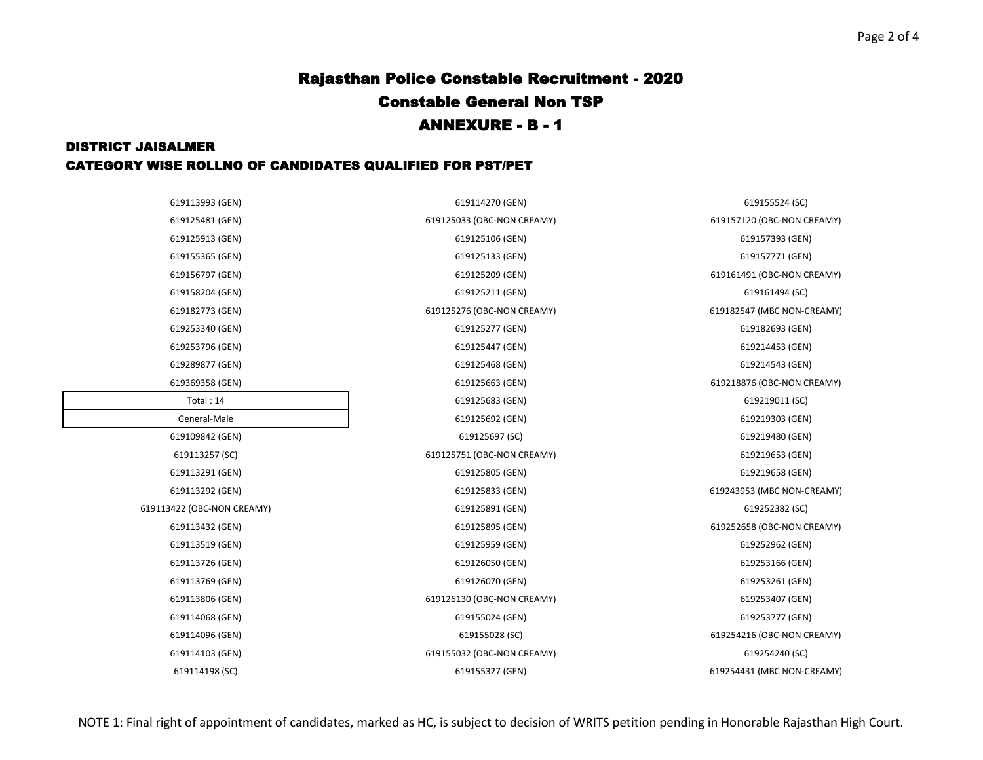## Rajasthan Police Constable Recruitment - 2020 Constable General Non TSP ANNEXURE - B - 1

### DISTRICT JAISALMER CATEGORY WISE ROLLNO OF CANDIDATES QUALIFIED FOR PST/PET

619125481 (GEN) 619125033 (OBC-NON CREAMY) 619157120 (OBC-NON CREAMY) 619156797 (GEN) 619125209 (GEN) 619161491 (OBC-NON CREAMY) 619158204 (GEN) 619125211 (GEN) 619161494 (SC) 619125276 (OBC-NON CREAMY) 619182547 (MBC NON-CREAMY) 619253340 (GEN) 619125277 (GEN) 619182693 (GEN) 619253796 (GEN) 619125447 (GEN) 619214453 (GEN) 619289877 (GEN) 619125468 (GEN) 619214543 (GEN) 619369358 (GEN) 619125663 (GEN) 619218876 (OBC-NON CREAMY) 619125692 (GEN) 619219303 (GEN) 619113291 (GEN) 619125805 (GEN) 619219658 (GEN) 619113292 (GEN) 619125833 (GEN) 619243953 (MBC NON-CREAMY) 619113432 (GEN) 619125895 (GEN) 619252658 (OBC-NON CREAMY) 619113726 (GEN) 619126050 (GEN) 619253166 (GEN) 619155024 (GEN) 619253777 (GEN) 619155028 (SC) 619254216 (OBC-NON CREAMY)

619113993 (GEN) 619114270 (GEN) 619155524 (SC) 619113257 (SC) 619125751 (OBC-NON CREAMY) 619219653 (GEN) 619113806 (GEN) 619126130 (OBC-NON CREAMY) 619253407 (GEN) 619114103 (GEN) 619155032 (OBC-NON CREAMY) 619254240 (SC) 619114198 (SC) 619155327 (GEN) 619254431 (MBC NON-CREAMY)

| 619113993 (GEN)            | 619114270 (GEN)            | 619155524 (SC)        |
|----------------------------|----------------------------|-----------------------|
| 619125481 (GEN)            | 619125033 (OBC-NON CREAMY) | 619157120 (OBC-NON CI |
| 619125913 (GEN)            | 619125106 (GEN)            | 619157393 (GEN)       |
| 619155365 (GEN)            | 619125133 (GEN)            | 619157771 (GEN)       |
| 619156797 (GEN)            | 619125209 (GEN)            | 619161491 (OBC-NON CI |
| 619158204 (GEN)            | 619125211 (GEN)            | 619161494 (SC)        |
| 619182773 (GEN)            | 619125276 (OBC-NON CREAMY) | 619182547 (MBC NON-C  |
| 619253340 (GEN)            | 619125277 (GEN)            | 619182693 (GEN)       |
| 619253796 (GEN)            | 619125447 (GEN)            | 619214453 (GEN)       |
| 619289877 (GEN)            | 619125468 (GEN)            | 619214543 (GEN)       |
| 619369358 (GEN)            | 619125663 (GEN)            | 619218876 (OBC-NON CI |
| Total: 14                  | 619125683 (GEN)            | 619219011 (SC)        |
| General-Male               | 619125692 (GEN)            | 619219303 (GEN)       |
| 619109842 (GEN)            | 619125697 (SC)             | 619219480 (GEN)       |
| 619113257 (SC)             | 619125751 (OBC-NON CREAMY) | 619219653 (GEN)       |
| 619113291 (GEN)            | 619125805 (GEN)            | 619219658 (GEN)       |
| 619113292 (GEN)            | 619125833 (GEN)            | 619243953 (MBC NON-CI |
| 619113422 (OBC-NON CREAMY) | 619125891 (GEN)            | 619252382 (SC)        |
| 619113432 (GEN)            | 619125895 (GEN)            | 619252658 (OBC-NON CI |
| 619113519 (GEN)            | 619125959 (GEN)            | 619252962 (GEN)       |
| 619113726 (GEN)            | 619126050 (GEN)            | 619253166 (GEN)       |
| 619113769 (GEN)            | 619126070 (GEN)            | 619253261 (GEN)       |
| 619113806 (GEN)            | 619126130 (OBC-NON CREAMY) | 619253407 (GEN)       |
| 619114068 (GEN)            | 619155024 (GEN)            | 619253777 (GEN)       |
| 619114096 (GEN)            | 619155028 (SC)             | 619254216 (OBC-NON CI |
| 619114103 (GEN)            | 619155032 (OBC-NON CREAMY) | 619254240 (SC)        |
|                            |                            |                       |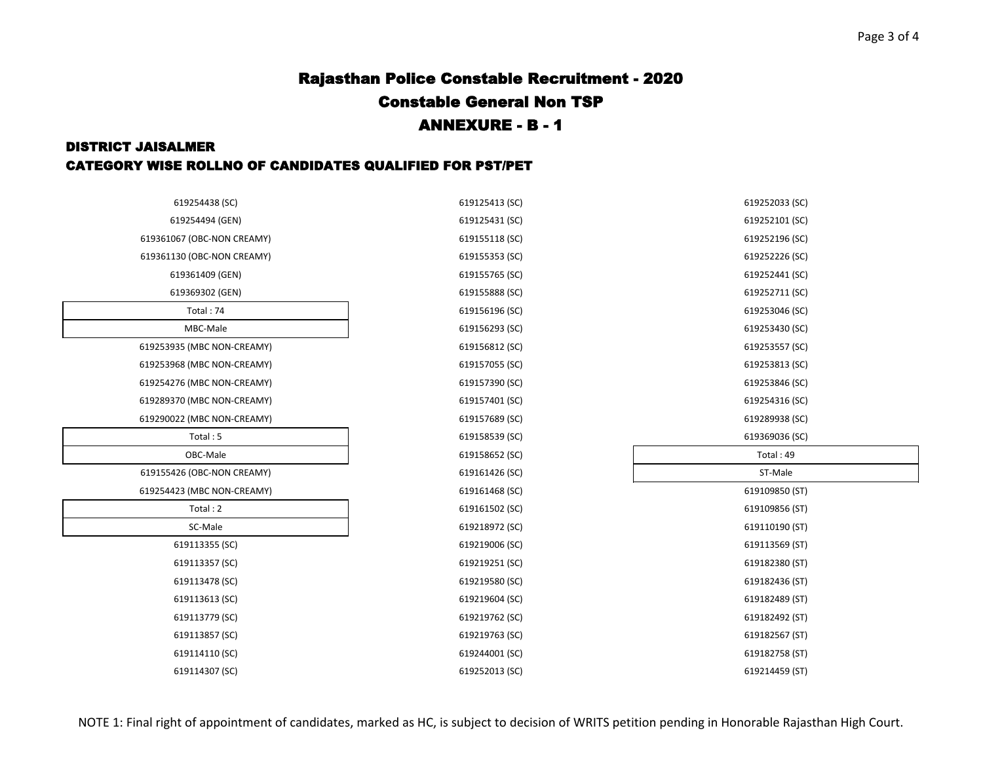# Rajasthan Police Constable Recruitment - 2020 Constable General Non TSP ANNEXURE - B - 1

### DISTRICT JAISALMER CATEGORY WISE ROLLNO OF CANDIDATES QUALIFIED FOR PST/PET

| 619254438 (SC)             | 619125413 (SC) | 619252033 (SC) |
|----------------------------|----------------|----------------|
| 619254494 (GEN)            | 619125431 (SC) | 619252101 (SC) |
| 619361067 (OBC-NON CREAMY) | 619155118 (SC) | 619252196 (SC) |
| 619361130 (OBC-NON CREAMY) | 619155353 (SC) | 619252226 (SC) |
| 619361409 (GEN)            | 619155765 (SC) | 619252441 (SC) |
| 619369302 (GEN)            | 619155888 (SC) | 619252711 (SC) |
| Total: 74                  | 619156196 (SC) | 619253046 (SC) |
| MBC-Male                   | 619156293 (SC) | 619253430 (SC) |
| 619253935 (MBC NON-CREAMY) | 619156812 (SC) | 619253557 (SC) |
| 619253968 (MBC NON-CREAMY) | 619157055 (SC) | 619253813 (SC) |
| 619254276 (MBC NON-CREAMY) | 619157390 (SC) | 619253846 (SC) |
| 619289370 (MBC NON-CREAMY) | 619157401 (SC) | 619254316 (SC) |
| 619290022 (MBC NON-CREAMY) | 619157689 (SC) | 619289938 (SC) |
| Total: 5                   | 619158539 (SC) | 619369036 (SC) |
| OBC-Male                   | 619158652 (SC) | Total: 49      |
| 619155426 (OBC-NON CREAMY) | 619161426 (SC) | ST-Male        |
| 619254423 (MBC NON-CREAMY) | 619161468 (SC) | 619109850 (ST) |
| Total: 2                   | 619161502 (SC) | 619109856 (ST) |
| SC-Male                    | 619218972 (SC) | 619110190 (ST) |
| 619113355 (SC)             | 619219006 (SC) | 619113569 (ST) |
| 619113357 (SC)             | 619219251 (SC) | 619182380 (ST) |
| 619113478 (SC)             | 619219580 (SC) | 619182436 (ST) |
| 619113613 (SC)             | 619219604 (SC) | 619182489 (ST) |
| 619113779 (SC)             | 619219762 (SC) | 619182492 (ST) |
| 619113857 (SC)             | 619219763 (SC) | 619182567 (ST) |
| 619114110 (SC)             | 619244001 (SC) | 619182758 (ST) |
| 619114307 (SC)             | 619252013 (SC) | 619214459 (ST) |